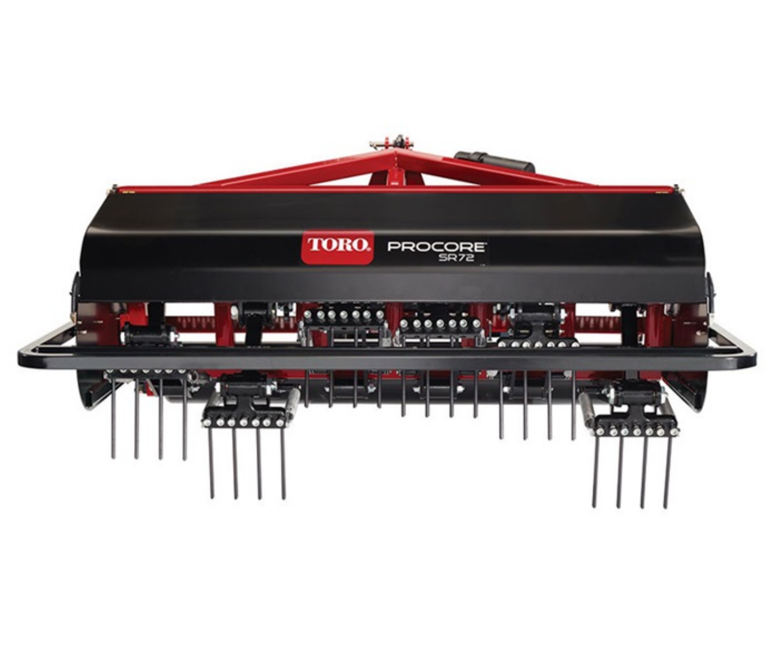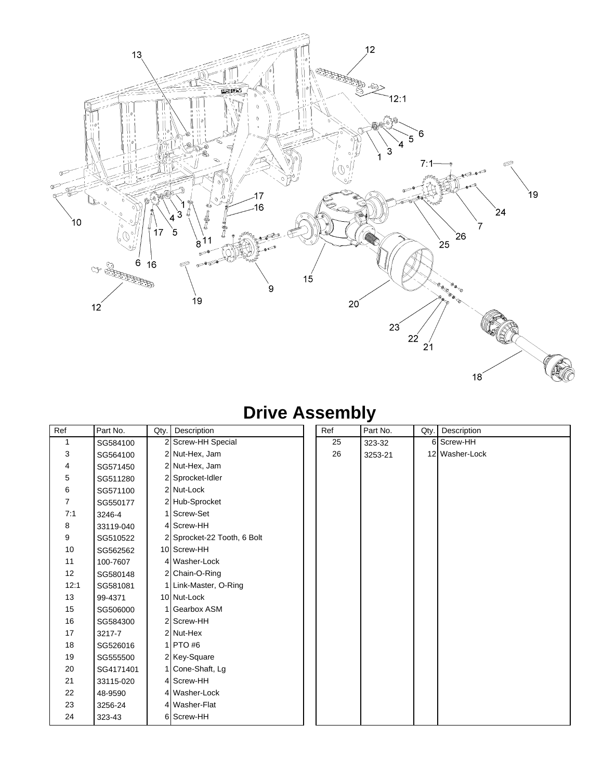

### **Drive Assembly**

| Ref            | Part No.  | Qty.           | Description                 | Ref | Part No. | Qty. | Description    |
|----------------|-----------|----------------|-----------------------------|-----|----------|------|----------------|
| 1              | SG584100  | $\overline{2}$ | Screw-HH Special            | 25  | 323-32   |      | 6 Screw-HH     |
| 3              | SG564100  |                | 2 Nut-Hex, Jam              | 26  | 3253-21  |      | 12 Washer-Lock |
| 4              | SG571450  |                | 2 Nut-Hex, Jam              |     |          |      |                |
| 5              | SG511280  |                | 2 Sprocket-Idler            |     |          |      |                |
| 6              | SG571100  |                | 2 Nut-Lock                  |     |          |      |                |
| $\overline{7}$ | SG550177  |                | 2 Hub-Sprocket              |     |          |      |                |
| 7:1            | 3246-4    |                | 1 Screw-Set                 |     |          |      |                |
| 8              | 33119-040 |                | 4 Screw-HH                  |     |          |      |                |
| 9              | SG510522  |                | 2 Sprocket-22 Tooth, 6 Bolt |     |          |      |                |
| 10             | SG562562  |                | 10 Screw-HH                 |     |          |      |                |
| 11             | 100-7607  |                | 4 Washer-Lock               |     |          |      |                |
| 12             | SG580148  |                | 2 Chain-O-Ring              |     |          |      |                |
| 12:1           | SG581081  |                | 1 Link-Master, O-Ring       |     |          |      |                |
| 13             | 99-4371   |                | 10 Nut-Lock                 |     |          |      |                |
| 15             | SG506000  |                | 1 Gearbox ASM               |     |          |      |                |
| 16             | SG584300  |                | 2 Screw-HH                  |     |          |      |                |
| 17             | 3217-7    |                | 2 Nut-Hex                   |     |          |      |                |
| 18             | SG526016  |                | 1 PTO #6                    |     |          |      |                |
| 19             | SG555500  |                | 2 Key-Square                |     |          |      |                |
| 20             | SG4171401 |                | 1 Cone-Shaft, Lg            |     |          |      |                |
| 21             | 33115-020 |                | 4 Screw-HH                  |     |          |      |                |
| 22             | 48-9590   |                | 4 Washer-Lock               |     |          |      |                |
| 23             | 3256-24   |                | 4 Washer-Flat               |     |          |      |                |
| 24             | 323-43    |                | 6 Screw-HH                  |     |          |      |                |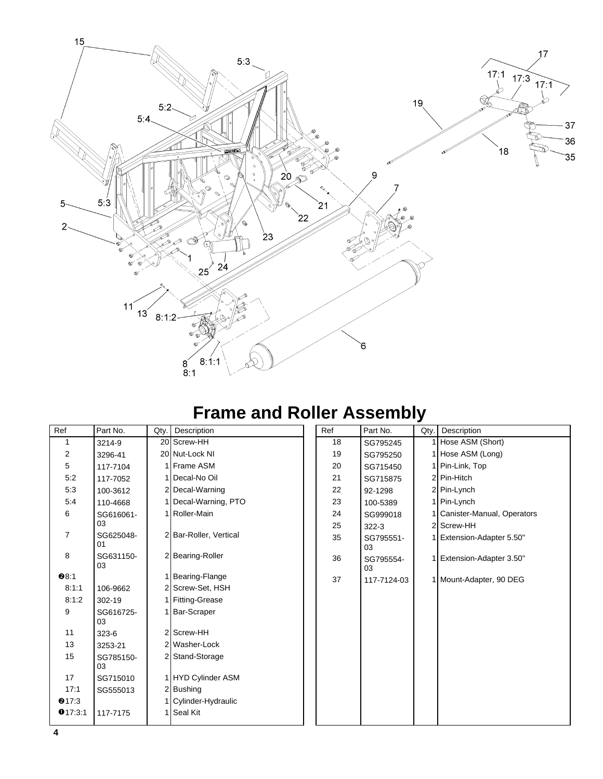

### **Frame and Roller Assembly**

| Ref            | Part No.        | Qty.           | Description             | Ref | Part No.        | Qty. | Description                |
|----------------|-----------------|----------------|-------------------------|-----|-----------------|------|----------------------------|
| 1              | 3214-9          |                | 20 Screw-HH             | 18  | SG795245        |      | Hose ASM (Short)           |
| 2              | 3296-41         |                | 20 Nut-Lock NI          | 19  | SG795250        |      | Hose ASM (Long)            |
| 5              | 117-7104        |                | 1 Frame ASM             | 20  | SG715450        |      | Pin-Link, Top              |
| 5:2            | 117-7052        |                | Decal-No Oil            | 21  | SG715875        |      | 2 Pin-Hitch                |
| 5:3            | 100-3612        |                | Decal-Warning           | 22  | 92-1298         |      | 2 Pin-Lynch                |
| 5:4            | 110-4668        |                | Decal-Warning, PTO      | 23  | 100-5389        |      | Pin-Lynch                  |
| 6              | SG616061-       |                | Roller-Main             | 24  | SG999018        |      | Canister-Manual, Operators |
|                | 03              |                |                         | 25  | $322 - 3$       |      | 2 Screw-HH                 |
| $\overline{7}$ | SG625048-<br>01 |                | Bar-Roller, Vertical    | 35  | SG795551-<br>03 |      | Extension-Adapter 5.50"    |
| 8              | SG631150-<br>03 | 2              | Bearing-Roller          | 36  | SG795554-<br>03 |      | Extension-Adapter 3.50"    |
| <b>08:1</b>    |                 |                | Bearing-Flange          | 37  | 117-7124-03     |      | 1 Mount-Adapter, 90 DEG    |
| 8:1:1          | 106-9662        | $\overline{2}$ | Screw-Set, HSH          |     |                 |      |                            |
| 8:1:2          | 302-19          |                | <b>Fitting-Grease</b>   |     |                 |      |                            |
| 9              | SG616725-<br>03 |                | <b>Bar-Scraper</b>      |     |                 |      |                            |
| 11             | 323-6           | $\overline{2}$ | Screw-HH                |     |                 |      |                            |
| 13             | 3253-21         |                | 2 Washer-Lock           |     |                 |      |                            |
| 15             | SG785150-<br>03 |                | 2 Stand-Storage         |     |                 |      |                            |
| 17             | SG715010        |                | <b>HYD Cylinder ASM</b> |     |                 |      |                            |
| 17:1           | SG555013        |                | 2 Bushing               |     |                 |      |                            |
| Q17:3          |                 |                | Cylinder-Hydraulic      |     |                 |      |                            |
| 017:3:1        | 117-7175        |                | Seal Kit                |     |                 |      |                            |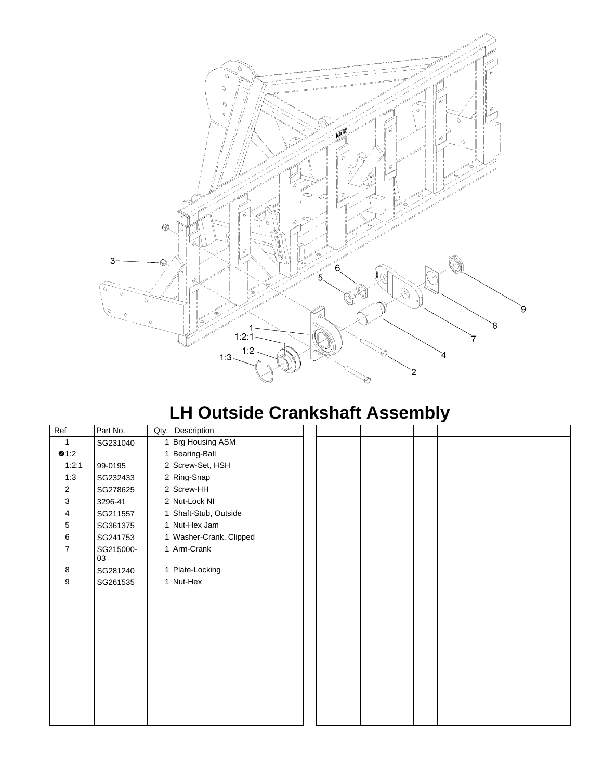

### **LH Outside Crankshaft Assembly**

| Ref            | Part No.        | Qty.           | Description            |  |  |
|----------------|-----------------|----------------|------------------------|--|--|
| $\mathbf{1}$   | SG231040        |                | <b>Brg Housing ASM</b> |  |  |
| Q1:2           |                 |                | Bearing-Ball           |  |  |
| 1:2:1          | 99-0195         | $\overline{2}$ | Screw-Set, HSH         |  |  |
| 1:3            | SG232433        |                | 2 Ring-Snap            |  |  |
| $\overline{c}$ | SG278625        |                | 2 Screw-HH             |  |  |
| 3              | 3296-41         |                | 2 Nut-Lock NI          |  |  |
| 4              | SG211557        |                | 1 Shaft-Stub, Outside  |  |  |
| 5              | SG361375        |                | 1 Nut-Hex Jam          |  |  |
| 6              | SG241753        | 1              | Washer-Crank, Clipped  |  |  |
| $\overline{7}$ | SG215000-<br>03 |                | Arm-Crank              |  |  |
| 8              | SG281240        | 1              | Plate-Locking          |  |  |
| 9              | SG261535        |                | 1 Nut-Hex              |  |  |
|                |                 |                |                        |  |  |
|                |                 |                |                        |  |  |
|                |                 |                |                        |  |  |
|                |                 |                |                        |  |  |
|                |                 |                |                        |  |  |
|                |                 |                |                        |  |  |
|                |                 |                |                        |  |  |
|                |                 |                |                        |  |  |
|                |                 |                |                        |  |  |
|                |                 |                |                        |  |  |
|                |                 |                |                        |  |  |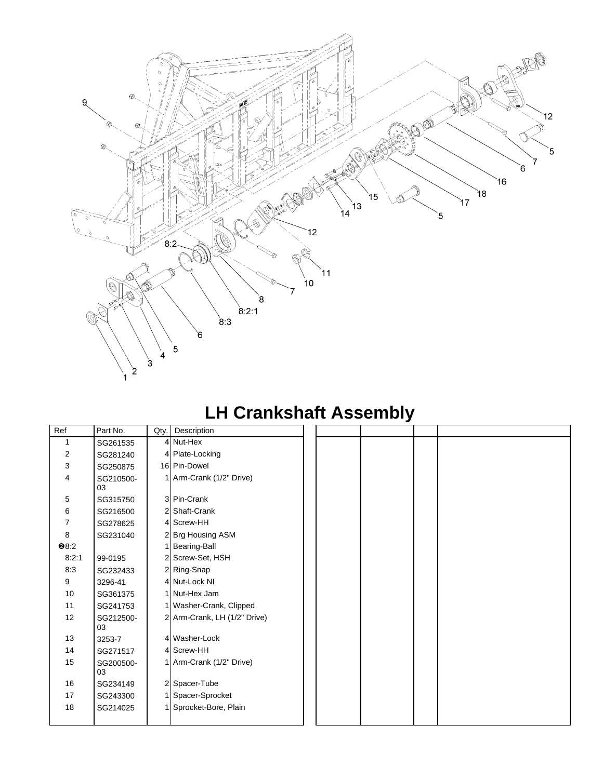

### **LH Crankshaft Assembly**

| Ref   | Part No.        | Qty. | Description                  |  |  |
|-------|-----------------|------|------------------------------|--|--|
| 1     | SG261535        |      | 4 Nut-Hex                    |  |  |
| 2     | SG281240        |      | 4 Plate-Locking              |  |  |
| 3     | SG250875        |      | 16 Pin-Dowel                 |  |  |
| 4     | SG210500-<br>03 |      | 1 Arm-Crank (1/2" Drive)     |  |  |
| 5     | SG315750        |      | 3 Pin-Crank                  |  |  |
| 6     | SG216500        |      | 2 Shaft-Crank                |  |  |
| 7     | SG278625        |      | 4 Screw-HH                   |  |  |
| 8     | SG231040        |      | 2 Brg Housing ASM            |  |  |
| 98:2  |                 |      | 1 Bearing-Ball               |  |  |
| 8:2:1 | 99-0195         |      | 2 Screw-Set, HSH             |  |  |
| 8:3   | SG232433        |      | 2 Ring-Snap                  |  |  |
| 9     | 3296-41         |      | 4 Nut-Lock NI                |  |  |
| 10    | SG361375        |      | 1 Nut-Hex Jam                |  |  |
| 11    | SG241753        |      | 1 Washer-Crank, Clipped      |  |  |
| 12    | SG212500-<br>03 |      | 2 Arm-Crank, LH (1/2" Drive) |  |  |
| 13    | 3253-7          |      | 4 Washer-Lock                |  |  |
| 14    | SG271517        |      | 4 Screw-HH                   |  |  |
| 15    | SG200500-<br>03 |      | 1 Arm-Crank (1/2" Drive)     |  |  |
| 16    | SG234149        |      | 2 Spacer-Tube                |  |  |
| 17    | SG243300        |      | 1 Spacer-Sprocket            |  |  |
| 18    | SG214025        | 1    | Sprocket-Bore, Plain         |  |  |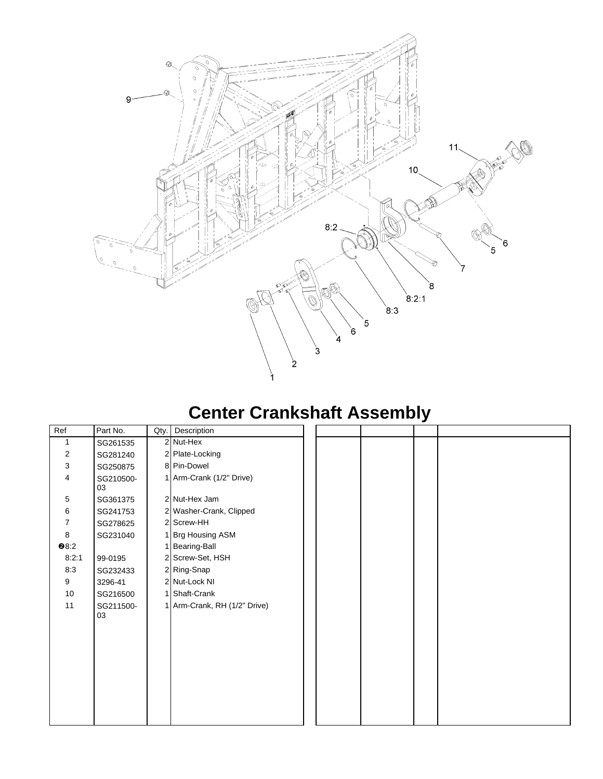

### **Center Crankshaft Assembly**

| Ref            | Part No.        | Qty. | Description                |  |  |
|----------------|-----------------|------|----------------------------|--|--|
| 1              | SG261535        |      | 2 Nut-Hex                  |  |  |
| $\overline{2}$ | SG281240        |      | 2 Plate-Locking            |  |  |
| $\sqrt{3}$     | SG250875        |      | 8 Pin-Dowel                |  |  |
| 4              | SG210500-<br>03 |      | Arm-Crank (1/2" Drive)     |  |  |
| $\,$ 5 $\,$    | SG361375        |      | 2 Nut-Hex Jam              |  |  |
| 6              | SG241753        |      | 2 Washer-Crank, Clipped    |  |  |
| $\overline{7}$ | SG278625        |      | 2 Screw-HH                 |  |  |
| 8              | SG231040        |      | <b>Brg Housing ASM</b>     |  |  |
| 98:2           |                 | 1    | Bearing-Ball               |  |  |
| 8:2:1          | 99-0195         |      | 2 Screw-Set, HSH           |  |  |
| 8:3            | SG232433        |      | 2 Ring-Snap                |  |  |
| 9              | 3296-41         |      | 2 Nut-Lock NI              |  |  |
| 10             | SG216500        |      | 1 Shaft-Crank              |  |  |
| 11             | SG211500-<br>03 |      | Arm-Crank, RH (1/2" Drive) |  |  |
|                |                 |      |                            |  |  |
|                |                 |      |                            |  |  |
|                |                 |      |                            |  |  |
|                |                 |      |                            |  |  |
|                |                 |      |                            |  |  |
|                |                 |      |                            |  |  |
|                |                 |      |                            |  |  |
|                |                 |      |                            |  |  |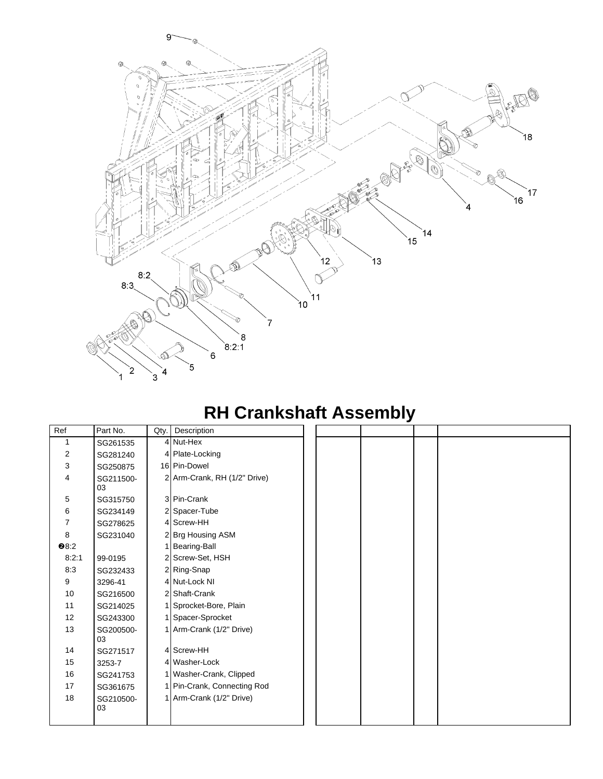

### **RH Crankshaft Assembly**

| Ref   | Part No.        | Qty. | Description                  |  |  |
|-------|-----------------|------|------------------------------|--|--|
| 1     | SG261535        |      | 4 Nut-Hex                    |  |  |
| 2     | SG281240        |      | 4 Plate-Locking              |  |  |
| 3     | SG250875        |      | 16 Pin-Dowel                 |  |  |
| 4     | SG211500-<br>03 |      | 2 Arm-Crank, RH (1/2" Drive) |  |  |
| 5     | SG315750        |      | 3 Pin-Crank                  |  |  |
| 6     | SG234149        |      | 2 Spacer-Tube                |  |  |
| 7     | SG278625        |      | 4 Screw-HH                   |  |  |
| 8     | SG231040        |      | 2 Brg Housing ASM            |  |  |
| 98:2  |                 | 1    | Bearing-Ball                 |  |  |
| 8:2:1 | 99-0195         |      | 2 Screw-Set, HSH             |  |  |
| 8:3   | SG232433        |      | 2 Ring-Snap                  |  |  |
| 9     | 3296-41         |      | 4 Nut-Lock NI                |  |  |
| 10    | SG216500        |      | 2 Shaft-Crank                |  |  |
| 11    | SG214025        |      | 1 Sprocket-Bore, Plain       |  |  |
| 12    | SG243300        |      | 1 Spacer-Sprocket            |  |  |
| 13    | SG200500-<br>03 |      | 1 Arm-Crank (1/2" Drive)     |  |  |
| 14    | SG271517        |      | 4 Screw-HH                   |  |  |
| 15    | 3253-7          |      | 4 Washer-Lock                |  |  |
| 16    | SG241753        |      | 1 Washer-Crank, Clipped      |  |  |
| 17    | SG361675        |      | 1 Pin-Crank, Connecting Rod  |  |  |
| 18    | SG210500-<br>03 |      | 1 Arm-Crank (1/2" Drive)     |  |  |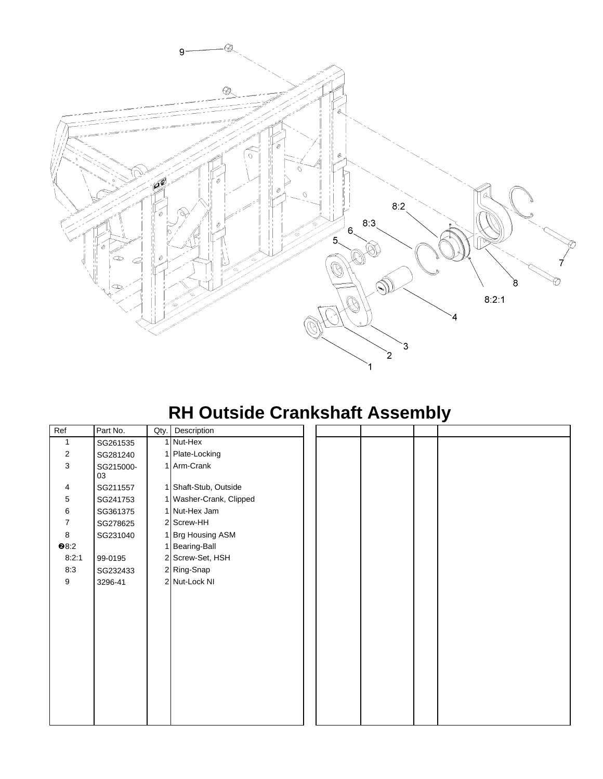

#### **RH Outside Crankshaft Assembly**

| Ref            | Part No.        |   | Qty. Description        |  |  |  |
|----------------|-----------------|---|-------------------------|--|--|--|
| 1              | SG261535        |   | 1 Nut-Hex               |  |  |  |
| $\overline{2}$ | SG281240        |   | 1 Plate-Locking         |  |  |  |
| $\mathbf{3}$   | SG215000-<br>03 |   | 1 Arm-Crank             |  |  |  |
| 4              | SG211557        |   | 1 Shaft-Stub, Outside   |  |  |  |
| 5              | SG241753        |   | 1 Washer-Crank, Clipped |  |  |  |
| 6              | SG361375        |   | 1 Nut-Hex Jam           |  |  |  |
| $\overline{7}$ | SG278625        |   | 2 Screw-HH              |  |  |  |
| 8              | SG231040        | 1 | Brg Housing ASM         |  |  |  |
| 98:2           |                 |   | 1 Bearing-Ball          |  |  |  |
| 8:2:1          | 99-0195         |   | 2 Screw-Set, HSH        |  |  |  |
| 8:3            | SG232433        |   | 2 Ring-Snap             |  |  |  |
| 9              | 3296-41         |   | 2 Nut-Lock NI           |  |  |  |
|                |                 |   |                         |  |  |  |
|                |                 |   |                         |  |  |  |
|                |                 |   |                         |  |  |  |
|                |                 |   |                         |  |  |  |
|                |                 |   |                         |  |  |  |
|                |                 |   |                         |  |  |  |
|                |                 |   |                         |  |  |  |
|                |                 |   |                         |  |  |  |
|                |                 |   |                         |  |  |  |
|                |                 |   |                         |  |  |  |
|                |                 |   |                         |  |  |  |
|                |                 |   |                         |  |  |  |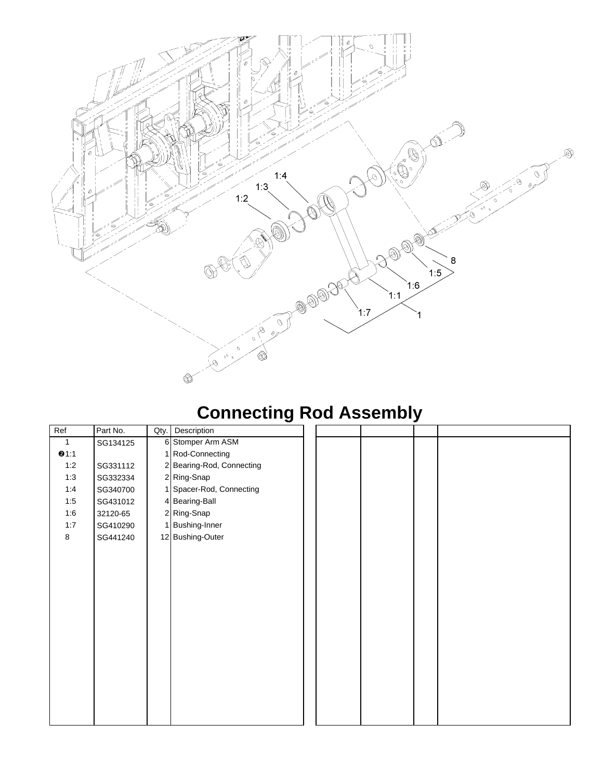

## **Connecting Rod Assembly**

| Ref          | Part No. | Qty. | Description               |  |  |
|--------------|----------|------|---------------------------|--|--|
| $\mathbf{1}$ | SG134125 |      | 6 Stomper Arm ASM         |  |  |
| Q1:1         |          |      | 1 Rod-Connecting          |  |  |
| 1:2          | SG331112 |      | 2 Bearing-Rod, Connecting |  |  |
| 1:3          | SG332334 |      | 2 Ring-Snap               |  |  |
| 1:4          | SG340700 |      | 1 Spacer-Rod, Connecting  |  |  |
| 1:5          | SG431012 |      | 4 Bearing-Ball            |  |  |
| 1:6          | 32120-65 |      | 2 Ring-Snap               |  |  |
| 1:7          | SG410290 | 1    | <b>Bushing-Inner</b>      |  |  |
| 8            | SG441240 |      | 12 Bushing-Outer          |  |  |
|              |          |      |                           |  |  |
|              |          |      |                           |  |  |
|              |          |      |                           |  |  |
|              |          |      |                           |  |  |
|              |          |      |                           |  |  |
|              |          |      |                           |  |  |
|              |          |      |                           |  |  |
|              |          |      |                           |  |  |
|              |          |      |                           |  |  |
|              |          |      |                           |  |  |
|              |          |      |                           |  |  |
|              |          |      |                           |  |  |
|              |          |      |                           |  |  |
|              |          |      |                           |  |  |
|              |          |      |                           |  |  |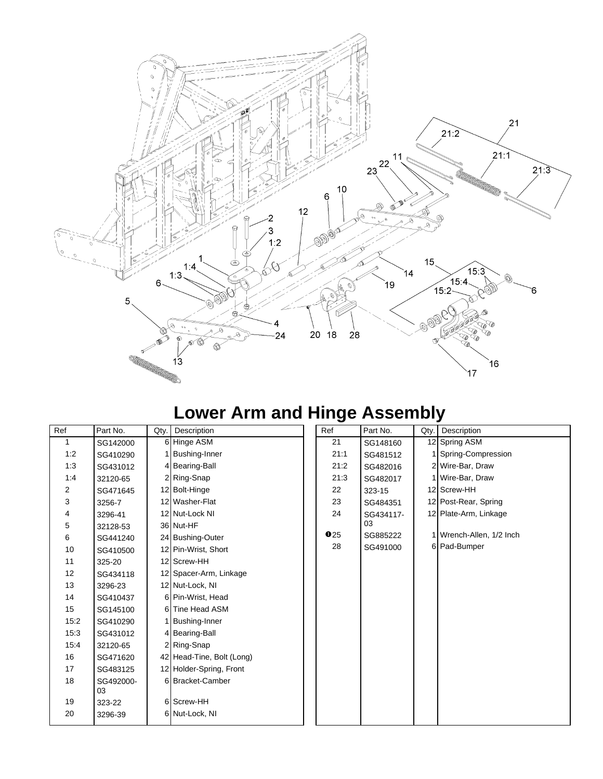

### **Lower Arm and Hinge Assembly**

| Ref          | Part No.  | Qty. | Description               | Ref  | Part No.  | Qty. | Description              |
|--------------|-----------|------|---------------------------|------|-----------|------|--------------------------|
| $\mathbf{1}$ | SG142000  |      | 6 Hinge ASM               | 21   | SG148160  |      | 12 Spring ASM            |
| 1:2          | SG410290  |      | Bushing-Inner             | 21:1 | SG481512  |      | 1 Spring-Compression     |
| 1:3          | SG431012  |      | 4 Bearing-Ball            | 21:2 | SG482016  |      | 2 Wire-Bar, Draw         |
| 1:4          | 32120-65  |      | 2 Ring-Snap               | 21:3 | SG482017  |      | 1 Wire-Bar, Draw         |
| 2            | SG471645  |      | 12 Bolt-Hinge             | 22   | 323-15    |      | 12 Screw-HH              |
| 3            | 3256-7    |      | 12 Washer-Flat            | 23   | SG484351  |      | 12 Post-Rear, Spring     |
| 4            | 3296-41   |      | 12 Nut-Lock NI            | 24   | SG434117- |      | 12 Plate-Arm, Linkage    |
| 5            | 32128-53  |      | 36 Nut-HF                 |      | 03        |      |                          |
| 6            | SG441240  |      | 24 Bushing-Outer          | 025  | SG885222  |      | 1 Wrench-Allen, 1/2 Inch |
| 10           | SG410500  |      | 12 Pin-Wrist, Short       | 28   | SG491000  |      | 6 Pad-Bumper             |
| 11           | 325-20    |      | 12 Screw-HH               |      |           |      |                          |
| 12           | SG434118  |      | 12 Spacer-Arm, Linkage    |      |           |      |                          |
| 13           | 3296-23   |      | 12 Nut-Lock, NI           |      |           |      |                          |
| 14           | SG410437  |      | 6 Pin-Wrist, Head         |      |           |      |                          |
| 15           | SG145100  |      | 6 Tine Head ASM           |      |           |      |                          |
| 15:2         | SG410290  |      | Bushing-Inner             |      |           |      |                          |
| 15:3         | SG431012  |      | 4 Bearing-Ball            |      |           |      |                          |
| 15:4         | 32120-65  |      | 2 Ring-Snap               |      |           |      |                          |
| 16           | SG471620  |      | 42 Head-Tine, Bolt (Long) |      |           |      |                          |
| 17           | SG483125  |      | 12 Holder-Spring, Front   |      |           |      |                          |
| 18           | SG492000- |      | 6 Bracket-Camber          |      |           |      |                          |
|              | 03        |      |                           |      |           |      |                          |
| 19           | 323-22    |      | 6 Screw-HH                |      |           |      |                          |
| 20           | 3296-39   |      | 6 Nut-Lock, NI            |      |           |      |                          |